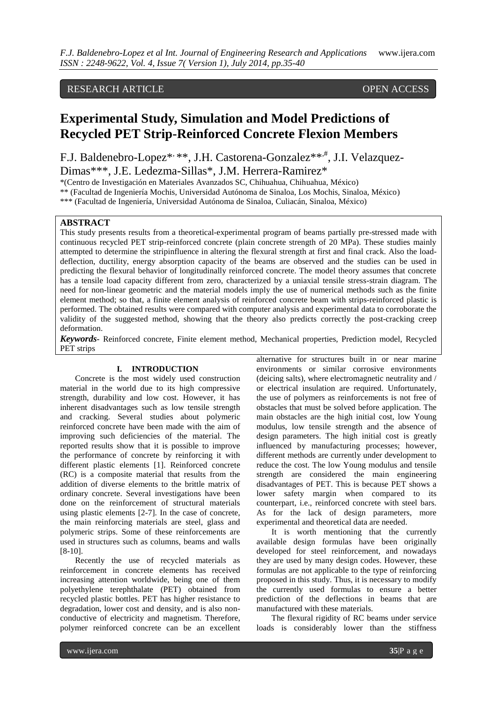## RESEARCH ARTICLE OPEN ACCESS

# **Experimental Study, Simulation and Model Predictions of Recycled PET Strip-Reinforced Concrete Flexion Members**

F.J. Baldenebro-Lopez\*, \*\*, J.H. Castorena-Gonzalez\*\*, J.I. Velazquez-Dimas\*\*\*, J.E. Ledezma-Sillas\*, J.M. Herrera-Ramirez\*

\*(Centro de Investigación en Materiales Avanzados SC, Chihuahua, Chihuahua, México)

\*\* (Facultad de Ingeniería Mochis, Universidad Autónoma de Sinaloa, Los Mochis, Sinaloa, México)

\*\*\* (Facultad de Ingeniería, Universidad Autónoma de Sinaloa, Culiacán, Sinaloa, México)

### **ABSTRACT**

This study presents results from a theoretical-experimental program of beams partially pre-stressed made with continuous recycled PET strip-reinforced concrete (plain concrete strength of 20 MPa). These studies mainly attempted to determine the stripinfluence in altering the flexural strength at first and final crack. Also the loaddeflection, ductility, energy absorption capacity of the beams are observed and the studies can be used in predicting the flexural behavior of longitudinally reinforced concrete. The model theory assumes that concrete has a tensile load capacity different from zero, characterized by a uniaxial tensile stress-strain diagram. The need for non-linear geometric and the material models imply the use of numerical methods such as the finite element method; so that, a finite element analysis of reinforced concrete beam with strips-reinforced plastic is performed. The obtained results were compared with computer analysis and experimental data to corroborate the validity of the suggested method, showing that the theory also predicts correctly the post-cracking creep deformation.

*Keywords***-** Reinforced concrete, Finite element method, Mechanical properties, Prediction model, Recycled PET strips

#### **I. INTRODUCTION**

Concrete is the most widely used construction material in the world due to its high compressive strength, durability and low cost. However, it has inherent disadvantages such as low tensile strength and cracking. Several studies about polymeric reinforced concrete have been made with the aim of improving such deficiencies of the material. The reported results show that it is possible to improve the performance of concrete by reinforcing it with different plastic elements [1]. Reinforced concrete (RC) is a composite material that results from the addition of diverse elements to the brittle matrix of ordinary concrete. Several investigations have been done on the reinforcement of structural materials using plastic elements [2-7]. In the case of concrete, the main reinforcing materials are steel, glass and polymeric strips. Some of these reinforcements are used in structures such as columns, beams and walls [8-10].

Recently the use of recycled materials as reinforcement in concrete elements has received increasing attention worldwide, being one of them polyethylene terephthalate (PET) obtained from recycled plastic bottles. PET has higher resistance to degradation, lower cost and density, and is also nonconductive of electricity and magnetism. Therefore, polymer reinforced concrete can be an excellent

alternative for structures built in or near marine environments or similar corrosive environments (deicing salts), where electromagnetic neutrality and / or electrical insulation are required. Unfortunately, the use of polymers as reinforcements is not free of obstacles that must be solved before application. The main obstacles are the high initial cost, low Young modulus, low tensile strength and the absence of design parameters. The high initial cost is greatly influenced by manufacturing processes; however, different methods are currently under development to reduce the cost. The low Young modulus and tensile strength are considered the main engineering disadvantages of PET. This is because PET shows a lower safety margin when compared to its counterpart, i.e., reinforced concrete with steel bars. As for the lack of design parameters, more experimental and theoretical data are needed.

It is worth mentioning that the currently available design formulas have been originally developed for steel reinforcement, and nowadays they are used by many design codes. However, these formulas are not applicable to the type of reinforcing proposed in this study. Thus, it is necessary to modify the currently used formulas to ensure a better prediction of the deflections in beams that are manufactured with these materials.

The flexural rigidity of RC beams under service loads is considerably lower than the stiffness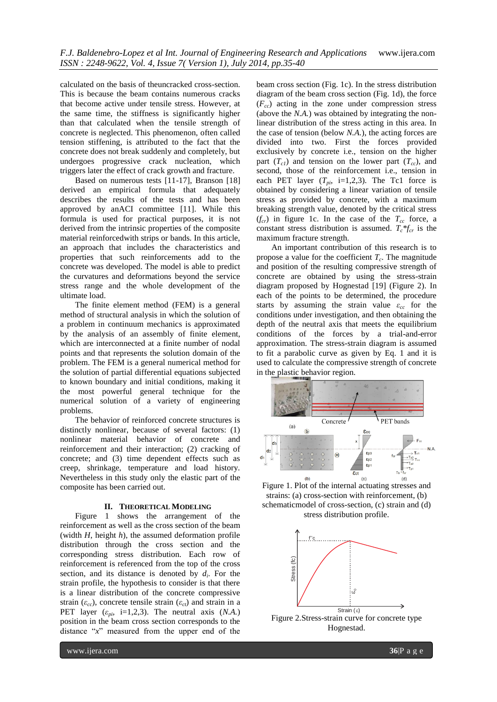calculated on the basis of theuncracked cross-section. This is because the beam contains numerous cracks that become active under tensile stress. However, at the same time, the stiffness is significantly higher than that calculated when the tensile strength of concrete is neglected. This phenomenon, often called tension stiffening, is attributed to the fact that the concrete does not break suddenly and completely, but undergoes progressive crack nucleation, which triggers later the effect of crack growth and fracture.

Based on numerous tests [11-17], Branson [18] derived an empirical formula that adequately describes the results of the tests and has been approved by anACI committee [11]. While this formula is used for practical purposes, it is not derived from the intrinsic properties of the composite material reinforcedwith strips or bands. In this article, an approach that includes the characteristics and properties that such reinforcements add to the concrete was developed. The model is able to predict the curvatures and deformations beyond the service stress range and the whole development of the ultimate load.

The finite element method (FEM) is a general method of structural analysis in which the solution of a problem in continuum mechanics is approximated by the analysis of an assembly of finite element, which are interconnected at a finite number of nodal points and that represents the solution domain of the problem. The FEM is a general numerical method for the solution of partial differential equations subjected to known boundary and initial conditions, making it the most powerful general technique for the numerical solution of a variety of engineering problems.

The behavior of reinforced concrete structures is distinctly nonlinear, because of several factors: (1) nonlinear material behavior of concrete and reinforcement and their interaction; (2) cracking of concrete; and (3) time dependent effects such as creep, shrinkage, temperature and load history. Nevertheless in this study only the elastic part of the composite has been carried out.

#### **II. THEORETICAL MODELING**

Figure 1 shows the arrangement of the reinforcement as well as the cross section of the beam (width *H*, height *h*), the assumed deformation profile distribution through the cross section and the corresponding stress distribution. Each row of reinforcement is referenced from the top of the cross section, and its distance is denoted by  $d_i$ . For the strain profile, the hypothesis to consider is that there is a linear distribution of the concrete compressive strain ( $\varepsilon_{cc}$ ), concrete tensile strain ( $\varepsilon_{ct}$ ) and strain in a PET layer  $(\varepsilon_{pi}, i=1,2,3)$ . The neutral axis  $(N.A.)$ position in the beam cross section corresponds to the distance "*x*" measured from the upper end of the

beam cross section (Fig. 1c). In the stress distribution diagram of the beam cross section (Fig. 1d), the force (*Fcc*) acting in the zone under compression stress (above the *N.A.*) was obtained by integrating the nonlinear distribution of the stress acting in this area. In the case of tension (below *N.A.*), the acting forces are divided into two. First the forces provided exclusively by concrete i.e., tension on the higher part  $(T<sub>c1</sub>)$  and tension on the lower part  $(T<sub>c2</sub>)$ , and second, those of the reinforcement i.e., tension in each PET layer  $(T_{pi}, i=1,2,3)$ . The Tc1 force is obtained by considering a linear variation of tensile stress as provided by concrete, with a maximum breaking strength value, denoted by the critical stress  $(f_{cr})$  in figure 1c. In the case of the  $T_{cc}$  force, a constant stress distribution is assumed.  $T_c * f_{cr}$  is the maximum fracture strength.

An important contribution of this research is to propose a value for the coefficient  $T_c$ . The magnitude and position of the resulting compressive strength of concrete are obtained by using the stress-strain diagram proposed by Hognestad [19] (Figure 2). In each of the points to be determined, the procedure starts by assuming the strain value *εcc* for the conditions under investigation, and then obtaining the depth of the neutral axis that meets the equilibrium conditions of the forces by a trial-and-error approximation. The stress-strain diagram is assumed to fit a parabolic curve as given by Eq. 1 and it is used to calculate the compressive strength of concrete in the plastic behavior region.



Figure 1. Plot of the internal actuating stresses and strains: (a) cross-section with reinforcement, (b) schematicmodel of cross-section, (c) strain and (d) stress distribution profile.



Hognestad.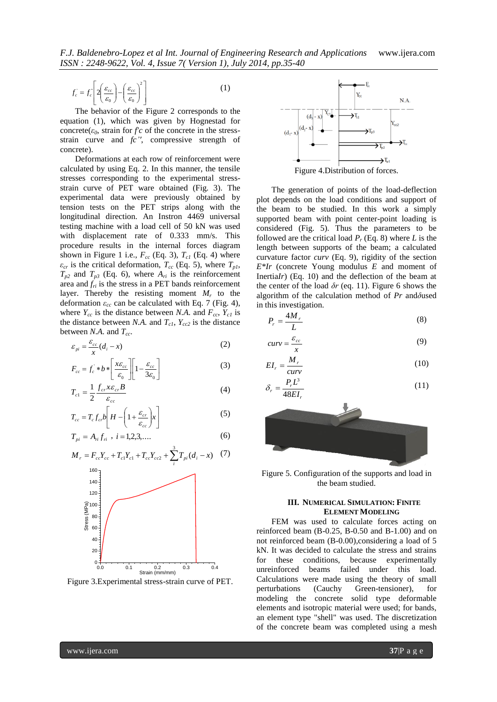$$
f_c = f_c \left[ 2 \left( \frac{\varepsilon_{cc}}{\varepsilon_0} \right) - \left( \frac{\varepsilon_{cc}}{\varepsilon_0} \right)^2 \right]
$$
 (1)

The behavior of the Figure 2 corresponds to the equation (1), which was given by Hognestad for concrete( $\varepsilon_0$ , strain for *f'c* of the concrete in the stressstrain curve and *fc''*, compressive strength of concrete).

Deformations at each row of reinforcement were calculated by using Eq. 2. In this manner, the tensile stresses corresponding to the experimental stressstrain curve of PET ware obtained (Fig. 3). The experimental data were previously obtained by tension tests on the PET strips along with the longitudinal direction. An Instron 4469 universal testing machine with a load cell of 50 kN was used with displacement rate of 0.333 mm/s. This procedure results in the internal forces diagram shown in Figure 1 i.e.,  $F_{cc}$  (Eq. 3),  $T_{c1}$  (Eq. 4) where  $\varepsilon_{cr}$  is the critical deformation,  $T_{cc}$  (Eq. 5), where  $T_{p1}$ ,  $T_{p2}$  and  $T_{p3}$  (Eq. 6), where  $A_{ri}$  is the reinforcement area and  $f_{ri}$  is the stress in a PET bands reinforcement layer. Thereby the resisting moment *M<sup>r</sup>* to the deformation *εcc* can be calculated with Eq. 7 (Fig. 4), where  $Y_{cc}$  is the distance between *N.A.* and  $F_{cc}$ ,  $Y_{c1}$  is the distance between *N.A.* and  $T_{c1}$ ,  $Y_{cc2}$  is the distance between *N.A.* and *Tcc*.

$$
\varepsilon_{pi} = \frac{\varepsilon_{cc}}{x}(d_i - x)
$$
 (2)

$$
F_{cc} = f_c * b * \left[ \frac{x \varepsilon_{cc}}{\varepsilon_0} \right] \left[ 1 - \frac{\varepsilon_{cc}}{3\varepsilon_0} \right]
$$
 (3)

$$
T_{c1} = \frac{1}{2} \frac{f_{cr} x \varepsilon_{cr} B}{\varepsilon_{cc}}
$$
 (4)

$$
T_{cc} = T_c f_{cr} b \left[ H - \left( 1 + \frac{\varepsilon_{cr}}{\varepsilon_{cc}} \right) x \right]
$$
 (5)

$$
T_{pi} = A_{ni} f_{ni} , i = 1, 2, 3, .... \tag{6}
$$

$$
M_{r} = F_{cc}Y_{cc} + T_{c1}Y_{c1} + T_{cc}Y_{cc2} + \sum_{i}^{3} T_{pi}(d_{i} - x) \quad (7)
$$



Figure 3.Experimental stress-strain curve of PET.



Figure 4.Distribution of forces.

The generation of points of the load-deflection plot depends on the load conditions and support of the beam to be studied. In this work a simply supported beam with point center-point loading is considered (Fig. 5). Thus the parameters to be followed are the critical load  $P_r$  (Eq. 8) where *L* is the length between supports of the beam; a calculated curvature factor *curv* (Eq. 9), rigidity of the section *E\*Ir* (concrete Young modulus *E* and moment of Inertia*Ir*) (Eq. 10) and the deflection of the beam at the center of the load *δr* (eq. 11). Figure 6 shows the algorithm of the calculation method of *Pr* and*δ*used in this investigation.

$$
P_r = \frac{4M_r}{L} \tag{8}
$$

$$
curv = \frac{\varepsilon_{cc}}{x} \tag{9}
$$

$$
EI_r = \frac{M_r}{curv} \tag{10}
$$

$$
\delta_r = \frac{P_r L^3}{48EI_r} \tag{11}
$$



Figure 5. Configuration of the supports and load in the beam studied.

#### **III. NUMERICAL SIMULATION: FINITE ELEMENT MODELING**

FEM was used to calculate forces acting on reinforced beam (B-0.25, B-0.50 and B-1.00) and on not reinforced beam (B-0.00),considering a load of 5 kN. It was decided to calculate the stress and strains for these conditions, because experimentally unreinforced beams failed under this load. Calculations were made using the theory of small perturbations (Cauchy Green-tensioner), for modeling the concrete solid type deformable elements and isotropic material were used; for bands, an element type "shell" was used. The discretization <sup>0.0</sup> <sup>0.2</sup> <sub>Strain</sub> mm/mm)<sup>0.3</sup> <sup>0.4</sup> unreinforced beams failed under this load.<br>Experimental stress-strain curve of PET. Calculations were made using the theory of small<br>perturbations (Cauchy Green-tensioner), for<br>model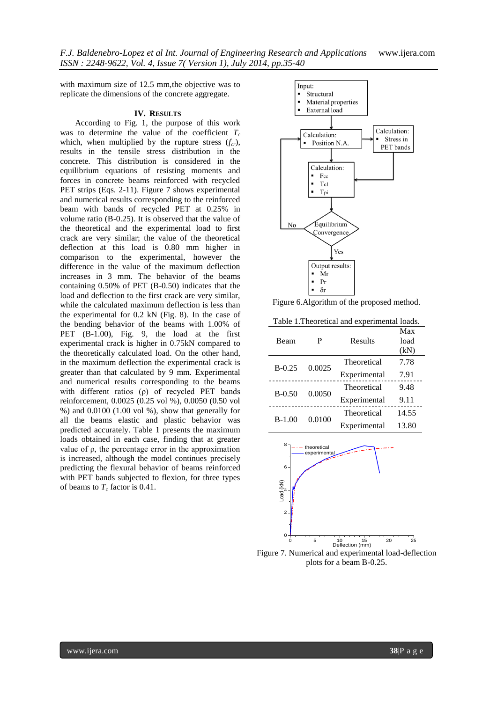with maximum size of 12.5 mm,the objective was to replicate the dimensions of the concrete aggregate.

#### **IV. RESULTS**

According to Fig. 1, the purpose of this work was to determine the value of the coefficient  $T_c$ which, when multiplied by the rupture stress (*fcr*), results in the tensile stress distribution in the concrete. This distribution is considered in the equilibrium equations of resisting moments and forces in concrete beams reinforced with recycled PET strips (Eqs. 2-11). Figure 7 shows experimental and numerical results corresponding to the reinforced beam with bands of recycled PET at 0.25% in volume ratio (B-0.25). It is observed that the value of the theoretical and the experimental load to first crack are very similar; the value of the theoretical deflection at this load is 0.80 mm higher in comparison to the experimental, however the difference in the value of the maximum deflection increases in 3 mm. The behavior of the beams containing 0.50% of PET (B-0.50) indicates that the load and deflection to the first crack are very similar, while the calculated maximum deflection is less than the experimental for 0.2 kN (Fig. 8). In the case of the bending behavior of the beams with 1.00% of PET (B-1.00), Fig. 9, the load at the first experimental crack is higher in 0.75kN compared to the theoretically calculated load. On the other hand, in the maximum deflection the experimental crack is greater than that calculated by 9 mm. Experimental and numerical results corresponding to the beams with different ratios (ρ) of recycled PET bands reinforcement, 0.0025 (0.25 vol %), 0.0050 (0.50 vol %) and 0.0100 (1.00 vol %), show that generally for all the beams elastic and plastic behavior was predicted accurately. Table 1 presents the maximum loads obtained in each case, finding that at greater value of ρ, the percentage error in the approximation is increased, although the model continues precisely predicting the flexural behavior of beams reinforced with PET bands subjected to flexion, for three types of beams to *T<sup>c</sup>* factor is 0.41.



Figure 6.Algorithm of the proposed method.

Table 1.Theoretical and experimental loads.

| Beam       | р      | Results      | Max<br>load<br>(kN) |
|------------|--------|--------------|---------------------|
| $B - 0.25$ | 0.0025 | Theoretical  | 7.78                |
|            |        | Experimental | 7.91                |
| $B - 0.50$ | 0.0050 | Theoretical  | 9.48                |
|            |        | Experimental | 9.11                |
| $B-1.00$   | 0.0100 | Theoretical  | 14.55               |
|            |        | Experimental | 13.80               |



Figure 7. Numerical and experimental load-deflection  $\frac{5}{\text{Definition (mm)}}$ <br>
Numerical and experimental load-deflection<br>
plots for a beam B-0.25.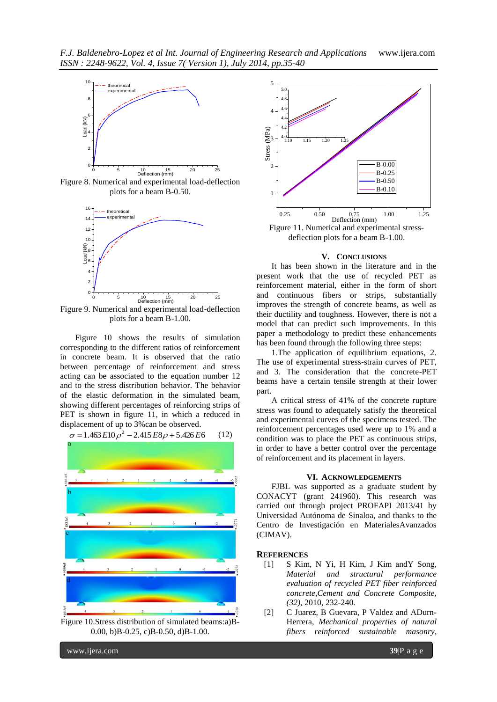

Figure 8. Numerical and experimental load-deflection plots for a beam B-0.50.



Figure 9. Numerical and experimental load-deflection plots for a beam B-1.00.

Figure 10 shows the results of simulation corresponding to the different ratios of reinforcement in concrete beam. It is observed that the ratio between percentage of reinforcement and stress acting can be associated to the equation number 12 and to the stress distribution behavior. The behavior of the elastic deformation in the simulated beam, showing different percentages of reinforcing strips of PET is shown in figure 11, in which a reduced in displacement of up to 3%can be observed.



Figure 10.Stress distribution of simulated beams:a)B-0.00, b)B-0.25, c)B-0.50, d)B-1.00.



#### **V. CONCLUSIONS**

It has been shown in the literature and in the present work that the use of recycled PET as reinforcement material, either in the form of short and continuous fibers or strips, substantially improves the strength of concrete beams, as well as their ductility and toughness. However, there is not a model that can predict such improvements. In this paper a methodology to predict these enhancements has been found through the following three steps:

1.The application of equilibrium equations, 2. The use of experimental stress-strain curves of PET, and 3. The consideration that the concrete-PET beams have a certain tensile strength at their lower part.

A critical stress of 41% of the concrete rupture stress was found to adequately satisfy the theoretical and experimental curves of the specimens tested. The reinforcement percentages used were up to 1% and a condition was to place the PET as continuous strips, in order to have a better control over the percentage of reinforcement and its placement in layers.

#### **VI. ACKNOWLEDGEMENTS**

FJBL was supported as a graduate student by CONACYT (grant 241960). This research was carried out through project PROFAPI 2013/41 by Universidad Autónoma de Sinaloa, and thanks to the Centro de Investigación en MaterialesAvanzados (CIMAV).

#### **REFERENCES**

- [1] S Kim, N Yi, H Kim, J Kim andY Song, *Material and structural performance evaluation of recycled PET fiber reinforced concrete*,*Cement and Concrete Composite, (32)*, 2010, 232-240.
- [2] C Juarez, B Guevara, P Valdez and ADurn-Herrera, *Mechanical properties of natural fibers reinforced sustainable masonry*,